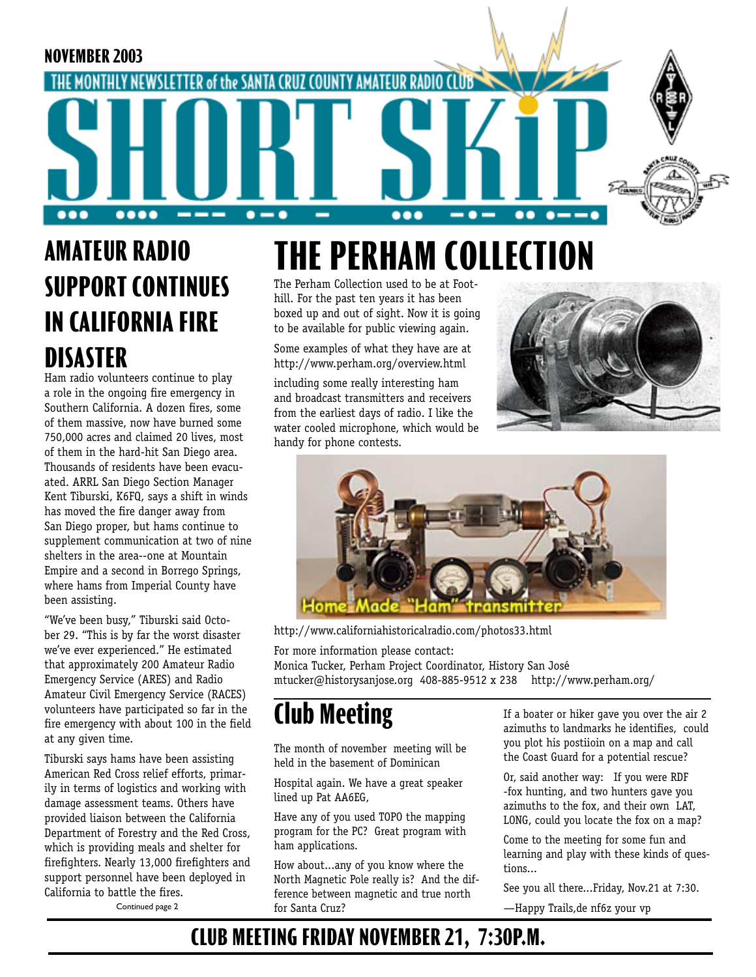

## **AMATEUR RADIO SUPPORT CONTINUES IN CALIFORNIA FIRE DISASTER**

Ham radio volunteers continue to play a role in the ongoing fire emergency in Southern California. A dozen fires, some of them massive, now have burned some 750,000 acres and claimed 20 lives, most of them in the hard-hit San Diego area. Thousands of residents have been evacuated. ARRL San Diego Section Manager Kent Tiburski, K6FQ, says a shift in winds has moved the fire danger away from San Diego proper, but hams continue to supplement communication at two of nine shelters in the area--one at Mountain Empire and a second in Borrego Springs, where hams from Imperial County have been assisting.

"We've been busy," Tiburski said October 29. "This is by far the worst disaster we've ever experienced." He estimated that approximately 200 Amateur Radio Emergency Service (ARES) and Radio Amateur Civil Emergency Service (RACES) volunteers have participated so far in the fire emergency with about 100 in the field at any given time.

Tiburski says hams have been assisting American Red Cross relief efforts, primarily in terms of logistics and working with damage assessment teams. Others have provided liaison between the California Department of Forestry and the Red Cross, which is providing meals and shelter for firefighters. Nearly 13,000 firefighters and support personnel have been deployed in California to battle the fires.

# **THE PERHAM COLLECTION**

The Perham Collection used to be at Foothill. For the past ten years it has been boxed up and out of sight. Now it is going to be available for public viewing again.

Some examples of what they have are at http://www.perham.org/overview.html

including some really interesting ham and broadcast transmitters and receivers from the earliest days of radio. I like the water cooled microphone, which would be handy for phone contests.





http://www.californiahistoricalradio.com/photos33.html

For more information please contact: Monica Tucker, Perham Project Coordinator, History San José mtucker@historysanjose.org 408-885-9512 x 238 http://www.perham.org/

## **Club Meeting**

The month of november meeting will be held in the basement of Dominican

Hospital again. We have a great speaker lined up Pat AA6EG,

Have any of you used TOPO the mapping program for the PC? Great program with ham applications.

How about...any of you know where the North Magnetic Pole really is? And the difference between magnetic and true north for Santa Cruz? Continued page 2 —Happy Trails,de nf6z your vp

If a boater or hiker gave you over the air 2 azimuths to landmarks he identifies, could you plot his postiioin on a map and call the Coast Guard for a potential rescue?

Or, said another way: If you were RDF -fox hunting, and two hunters gave you azimuths to the fox, and their own LAT, LONG, could you locate the fox on a map?

Come to the meeting for some fun and learning and play with these kinds of questions...

See you all there...Friday, Nov.21 at 7:30.

### **CLUB MEETING FRIDAY NOVEMBER 21, 7:30P.M.**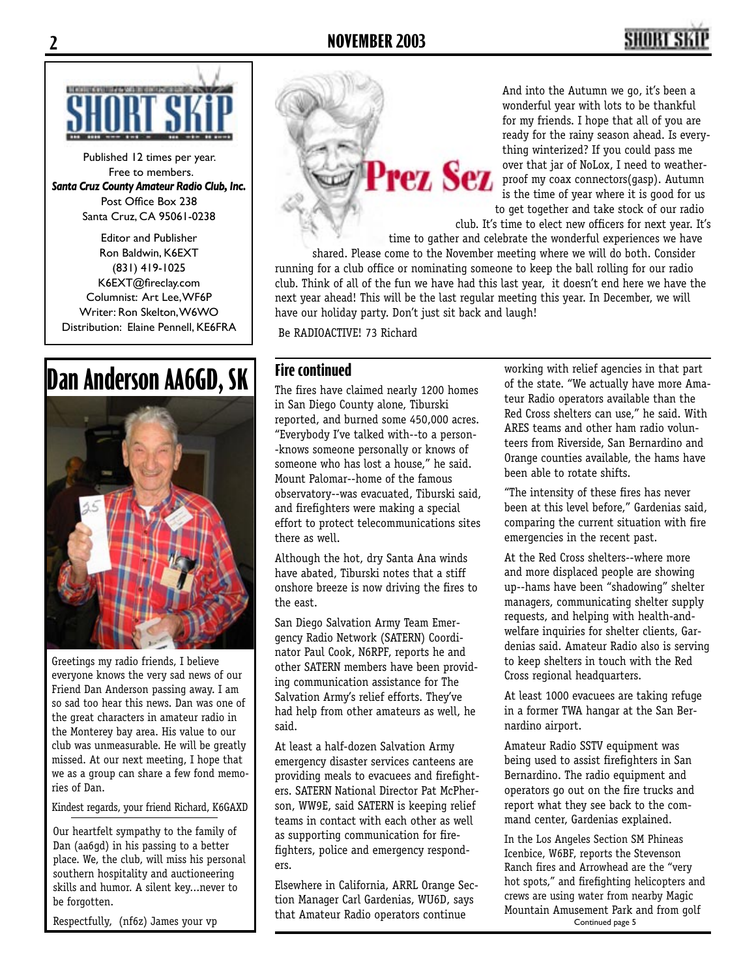

Published 12 times per year. Free to members. *Santa Cruz County Amateur Radio Club, Inc.* Post Office Box 238 Santa Cruz, CA 95061-0238

Editor and Publisher Ron Baldwin, K6EXT (831) 419-1025 K6EXT@fireclay.com Columnist: Art Lee, WF6P Writer: Ron Skelton, W6WO Distribution: Elaine Pennell, KE6FRA

### **Dan Anderson AA6GD, SK**



Greetings my radio friends, I believe everyone knows the very sad news of our Friend Dan Anderson passing away. I am so sad too hear this news. Dan was one of the great characters in amateur radio in the Monterey bay area. His value to our club was unmeasurable. He will be greatly missed. At our next meeting, I hope that we as a group can share a few fond memories of Dan.

Kindest regards, your friend Richard, K6GAXD

Our heartfelt sympathy to the family of Dan (aa6gd) in his passing to a better place. We, the club, will miss his personal southern hospitality and auctioneering skills and humor. A silent key...never to be forgotten.

Respectfully, (nf6z) James your vp

Prez Sez

And into the Autumn we go, it's been a wonderful year with lots to be thankful for my friends. I hope that all of you are ready for the rainy season ahead. Is everything winterized? If you could pass me over that jar of NoLox, I need to weatherproof my coax connectors(gasp). Autumn is the time of year where it is good for us to get together and take stock of our radio

club. It's time to elect new officers for next year. It's

time to gather and celebrate the wonderful experiences we have shared. Please come to the November meeting where we will do both. Consider running for a club office or nominating someone to keep the ball rolling for our radio club. Think of all of the fun we have had this last year, it doesn't end here we have the next year ahead! This will be the last regular meeting this year. In December, we will have our holiday party. Don't just sit back and laugh!

Be RADIOACTIVE! 73 Richard

#### **Fire continued**

The fires have claimed nearly 1200 homes in San Diego County alone, Tiburski reported, and burned some 450,000 acres. "Everybody I've talked with--to a person- -knows someone personally or knows of someone who has lost a house," he said. Mount Palomar--home of the famous observatory--was evacuated, Tiburski said, and firefighters were making a special effort to protect telecommunications sites there as well.

Although the hot, dry Santa Ana winds have abated, Tiburski notes that a stiff onshore breeze is now driving the fires to the east.

San Diego Salvation Army Team Emergency Radio Network (SATERN) Coordinator Paul Cook, N6RPF, reports he and other SATERN members have been providing communication assistance for The Salvation Army's relief efforts. They've had help from other amateurs as well, he said.

At least a half-dozen Salvation Army emergency disaster services canteens are providing meals to evacuees and firefighters. SATERN National Director Pat McPherson, WW9E, said SATERN is keeping relief teams in contact with each other as well as supporting communication for firefighters, police and emergency responders.

Elsewhere in California, ARRL Orange Section Manager Carl Gardenias, WU6D, says that Amateur Radio operators continue

working with relief agencies in that part of the state. "We actually have more Amateur Radio operators available than the Red Cross shelters can use," he said. With ARES teams and other ham radio volunteers from Riverside, San Bernardino and Orange counties available, the hams have been able to rotate shifts.

"The intensity of these fires has never been at this level before," Gardenias said, comparing the current situation with fire emergencies in the recent past.

At the Red Cross shelters--where more and more displaced people are showing up--hams have been "shadowing" shelter managers, communicating shelter supply requests, and helping with health-andwelfare inquiries for shelter clients, Gardenias said. Amateur Radio also is serving to keep shelters in touch with the Red Cross regional headquarters.

At least 1000 evacuees are taking refuge in a former TWA hangar at the San Bernardino airport.

Amateur Radio SSTV equipment was being used to assist firefighters in San Bernardino. The radio equipment and operators go out on the fire trucks and report what they see back to the command center, Gardenias explained.

In the Los Angeles Section SM Phineas Icenbice, W6BF, reports the Stevenson Ranch fires and Arrowhead are the "very hot spots," and firefighting helicopters and crews are using water from nearby Magic Mountain Amusement Park and from golf Continued page 5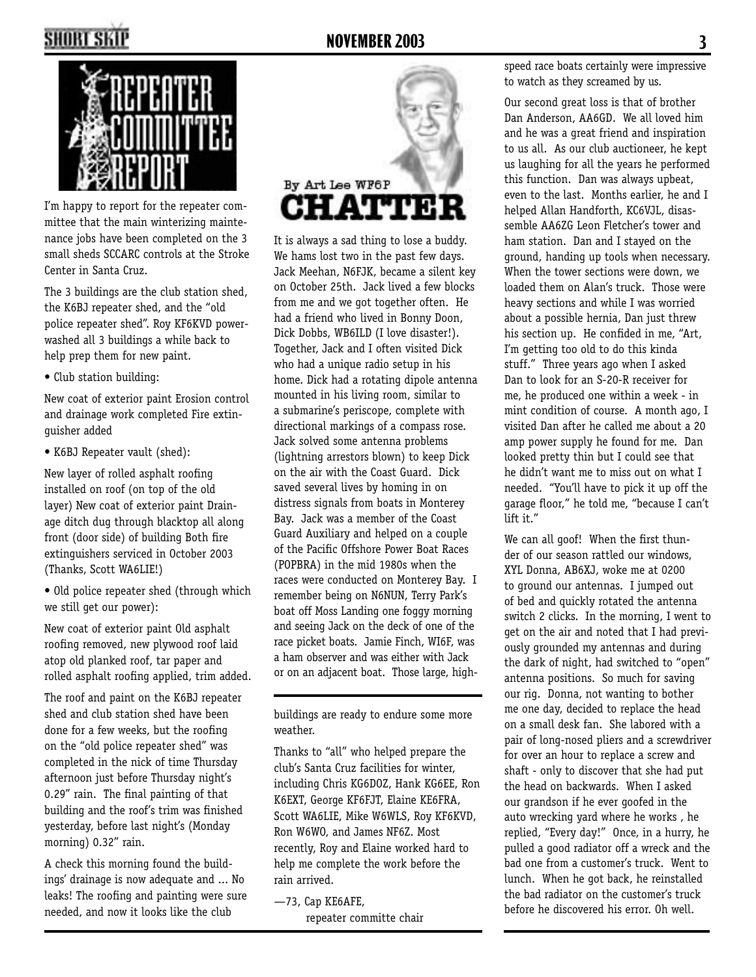

I'm happy to report for the repeater committee that the main winterizing maintenance jobs have been completed on the 3 small sheds SCCARC controls at the Stroke Center in Santa Cruz.

The 3 buildings are the club station shed, the K6BJ repeater shed, and the "old police repeater shed". Roy KF6KVD powerwashed all 3 buildings a while back to help prep them for new paint.

• Club station building:

New coat of exterior paint Erosion control and drainage work completed Fire extinguisher added

• K6BJ Repeater vault (shed):

New layer of rolled asphalt roofing installed on roof (on top of the old layer) New coat of exterior paint Drainage ditch dug through blacktop all along front (door side) of building Both fire extinguishers serviced in October 2003 (Thanks, Scott WA6LIE!)

• Old police repeater shed (through which we still get our power):

New coat of exterior paint Old asphalt roofing removed, new plywood roof laid atop old planked roof, tar paper and rolled asphalt roofing applied, trim added.

The roof and paint on the K6BJ repeater shed and club station shed have been done for a few weeks, but the roofing on the "old police repeater shed" was completed in the nick of time Thursday afternoon just before Thursday night's 0.29" rain. The final painting of that building and the roof's trim was finished yesterday, before last night's (Monday morning) 0.32" rain.

A check this morning found the buildings' drainage is now adequate and ... No leaks! The roofing and painting were sure needed, and now it looks like the club



It is always a sad thing to lose a buddy. We hams lost two in the past few days. Jack Meehan, N6FJK, became a silent key on October 25th. Jack lived a few blocks from me and we got together often. He had a friend who lived in Bonny Doon, Dick Dobbs, WB6ILD (I love disaster!). Together, Jack and I often visited Dick who had a unique radio setup in his home. Dick had a rotating dipole antenna mounted in his living room, similar to a submarine's periscope, complete with directional markings of a compass rose. Jack solved some antenna problems (lightning arrestors blown) to keep Dick on the air with the Coast Guard. Dick saved several lives by homing in on distress signals from boats in Monterey Bay. Jack was a member of the Coast Guard Auxiliary and helped on a couple of the Pacific Offshore Power Boat Races (POPBRA) in the mid 1980s when the races were conducted on Monterey Bay. I remember being on N6NUN, Terry Park's boat off Moss Landing one foggy morning and seeing Jack on the deck of one of the race picket boats. Jamie Finch, WI6F, was a ham observer and was either with Jack or on an adjacent boat. Those large, high-

buildings are ready to endure some more weather.

Thanks to "all" who helped prepare the club's Santa Cruz facilities for winter, including Chris KG6DOZ, Hank KG6EE, Ron K6EXT, George KF6FJT, Elaine KE6FRA, Scott WA6LIE, Mike W6WLS, Roy KF6KVD, Ron W6WO, and James NF6Z. Most recently, Roy and Elaine worked hard to help me complete the work before the rain arrived.

—73, Cap KE6AFE,

repeater committe chair

speed race boats certainly were impressive to watch as they screamed by us.

Our second great loss is that of brother Dan Anderson, AA6GD. We all loved him and he was a great friend and inspiration to us all. As our club auctioneer, he kept us laughing for all the years he performed this function. Dan was always upbeat, even to the last. Months earlier, he and I helped Allan Handforth, KC6VJL, disassemble AA6ZG Leon Fletcher's tower and ham station. Dan and I stayed on the ground, handing up tools when necessary. When the tower sections were down, we loaded them on Alan's truck. Those were heavy sections and while I was worried about a possible hernia, Dan just threw his section up. He confided in me, "Art, I'm getting too old to do this kinda stuff." Three years ago when I asked Dan to look for an S-20-R receiver for me, he produced one within a week - in mint condition of course. A month ago, I visited Dan after he called me about a 20 amp power supply he found for me. Dan looked pretty thin but I could see that he didn't want me to miss out on what I needed. "You'll have to pick it up off the garage floor," he told me, "because I can't lift it."

We can all goof! When the first thunder of our season rattled our windows, XYL Donna, AB6XJ, woke me at 0200 to ground our antennas. I jumped out of bed and quickly rotated the antenna switch 2 clicks. In the morning, I went to get on the air and noted that I had previously grounded my antennas and during the dark of night, had switched to "open" antenna positions. So much for saving our rig. Donna, not wanting to bother me one day, decided to replace the head on a small desk fan. She labored with a pair of long-nosed pliers and a screwdriver for over an hour to replace a screw and shaft - only to discover that she had put the head on backwards. When I asked our grandson if he ever goofed in the auto wrecking yard where he works , he replied, "Every day!" Once, in a hurry, he pulled a good radiator off a wreck and the bad one from a customer's truck. Went to lunch. When he got back, he reinstalled the bad radiator on the customer's truck before he discovered his error. Oh well.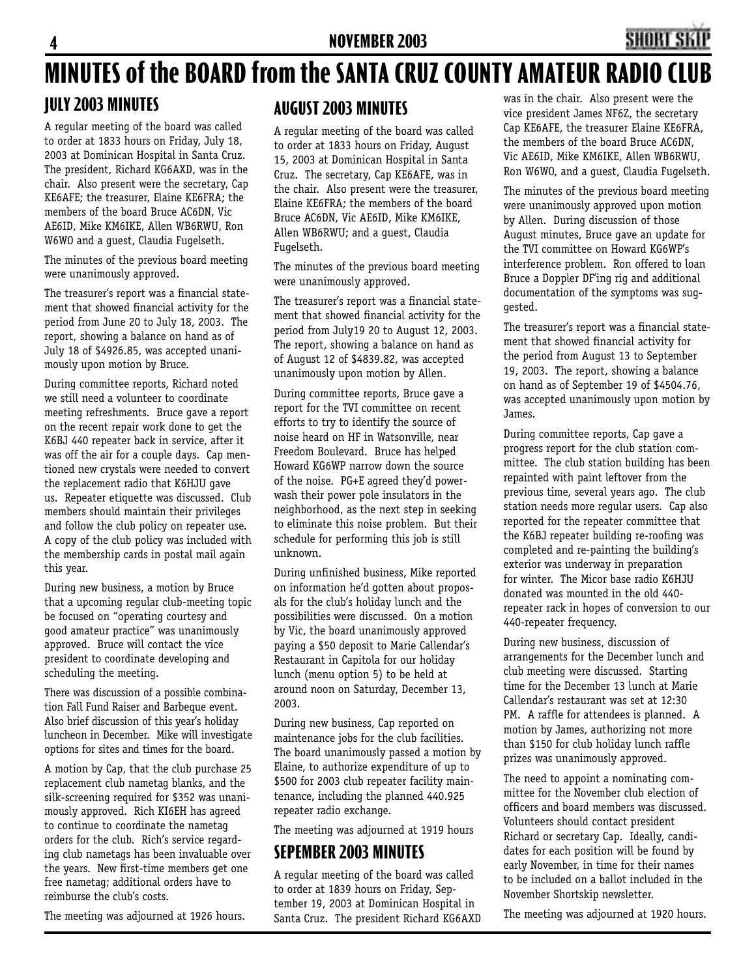#### **JULY 2003 MINUTES** was in the chair. Also present were the **MINUTES of the BOARD from the SANTA CRUZ COUNTY AMATEUR RADIO CLUB**

A regular meeting of the board was called to order at 1833 hours on Friday, July 18, 2003 at Dominican Hospital in Santa Cruz. The president, Richard KG6AXD, was in the chair. Also present were the secretary, Cap KE6AFE; the treasurer, Elaine KE6FRA; the members of the board Bruce AC6DN, Vic AE6ID, Mike KM6IKE, Allen WB6RWU, Ron W6WO and a guest, Claudia Fugelseth.

The minutes of the previous board meeting were unanimously approved.

The treasurer's report was a financial statement that showed financial activity for the period from June 20 to July 18, 2003. The report, showing a balance on hand as of July 18 of \$4926.85, was accepted unanimously upon motion by Bruce.

During committee reports, Richard noted we still need a volunteer to coordinate meeting refreshments. Bruce gave a report on the recent repair work done to get the K6BJ 440 repeater back in service, after it was off the air for a couple days. Cap mentioned new crystals were needed to convert the replacement radio that K6HJU gave us. Repeater etiquette was discussed. Club members should maintain their privileges and follow the club policy on repeater use. A copy of the club policy was included with the membership cards in postal mail again this year.

During new business, a motion by Bruce that a upcoming regular club-meeting topic be focused on "operating courtesy and good amateur practice" was unanimously approved. Bruce will contact the vice president to coordinate developing and scheduling the meeting.

There was discussion of a possible combination Fall Fund Raiser and Barbeque event. Also brief discussion of this year's holiday luncheon in December. Mike will investigate options for sites and times for the board.

A motion by Cap, that the club purchase 25 replacement club nametag blanks, and the silk-screening required for \$352 was unanimously approved. Rich KI6EH has agreed to continue to coordinate the nametag orders for the club. Rich's service regarding club nametags has been invaluable over the years. New first-time members get one free nametag; additional orders have to reimburse the club's costs.

The meeting was adjourned at 1926 hours.

#### **AUGUST 2003 MINUTES**

A regular meeting of the board was called to order at 1833 hours on Friday, August 15, 2003 at Dominican Hospital in Santa Cruz. The secretary, Cap KE6AFE, was in the chair. Also present were the treasurer, Elaine KE6FRA; the members of the board Bruce AC6DN, Vic AE6ID, Mike KM6IKE, Allen WB6RWU; and a guest, Claudia Fugelseth.

The minutes of the previous board meeting were unanimously approved.

The treasurer's report was a financial statement that showed financial activity for the period from July19 20 to August 12, 2003. The report, showing a balance on hand as of August 12 of \$4839.82, was accepted unanimously upon motion by Allen.

During committee reports, Bruce gave a report for the TVI committee on recent efforts to try to identify the source of noise heard on HF in Watsonville, near Freedom Boulevard. Bruce has helped Howard KG6WP narrow down the source of the noise. PG+E agreed they'd powerwash their power pole insulators in the neighborhood, as the next step in seeking to eliminate this noise problem. But their schedule for performing this job is still unknown.

During unfinished business, Mike reported on information he'd gotten about proposals for the club's holiday lunch and the possibilities were discussed. On a motion by Vic, the board unanimously approved paying a \$50 deposit to Marie Callendar's Restaurant in Capitola for our holiday lunch (menu option 5) to be held at around noon on Saturday, December 13, 2003.

During new business, Cap reported on maintenance jobs for the club facilities. The board unanimously passed a motion by Elaine, to authorize expenditure of up to \$500 for 2003 club repeater facility maintenance, including the planned 440.925 repeater radio exchange.

The meeting was adjourned at 1919 hours

### **SEPEMBER 2003 MINUTES**

A regular meeting of the board was called to order at 1839 hours on Friday, September 19, 2003 at Dominican Hospital in Santa Cruz. The president Richard KG6AXD vice president James NF6Z, the secretary Cap KE6AFE, the treasurer Elaine KE6FRA, the members of the board Bruce AC6DN, Vic AE6ID, Mike KM6IKE, Allen WB6RWU, Ron W6WO, and a guest, Claudia Fugelseth.

The minutes of the previous board meeting were unanimously approved upon motion by Allen. During discussion of those August minutes, Bruce gave an update for the TVI committee on Howard KG6WP's interference problem. Ron offered to loan Bruce a Doppler DF'ing rig and additional documentation of the symptoms was suggested.

The treasurer's report was a financial statement that showed financial activity for the period from August 13 to September 19, 2003. The report, showing a balance on hand as of September 19 of \$4504.76, was accepted unanimously upon motion by James.

During committee reports, Cap gave a progress report for the club station committee. The club station building has been repainted with paint leftover from the previous time, several years ago. The club station needs more regular users. Cap also reported for the repeater committee that the K6BJ repeater building re-roofing was completed and re-painting the building's exterior was underway in preparation for winter. The Micor base radio K6HJU donated was mounted in the old 440 repeater rack in hopes of conversion to our 440-repeater frequency.

During new business, discussion of arrangements for the December lunch and club meeting were discussed. Starting time for the December 13 lunch at Marie Callendar's restaurant was set at 12:30 PM. A raffle for attendees is planned. A motion by James, authorizing not more than \$150 for club holiday lunch raffle prizes was unanimously approved.

The need to appoint a nominating committee for the November club election of officers and board members was discussed. Volunteers should contact president Richard or secretary Cap. Ideally, candidates for each position will be found by early November, in time for their names to be included on a ballot included in the November Shortskip newsletter.

The meeting was adjourned at 1920 hours.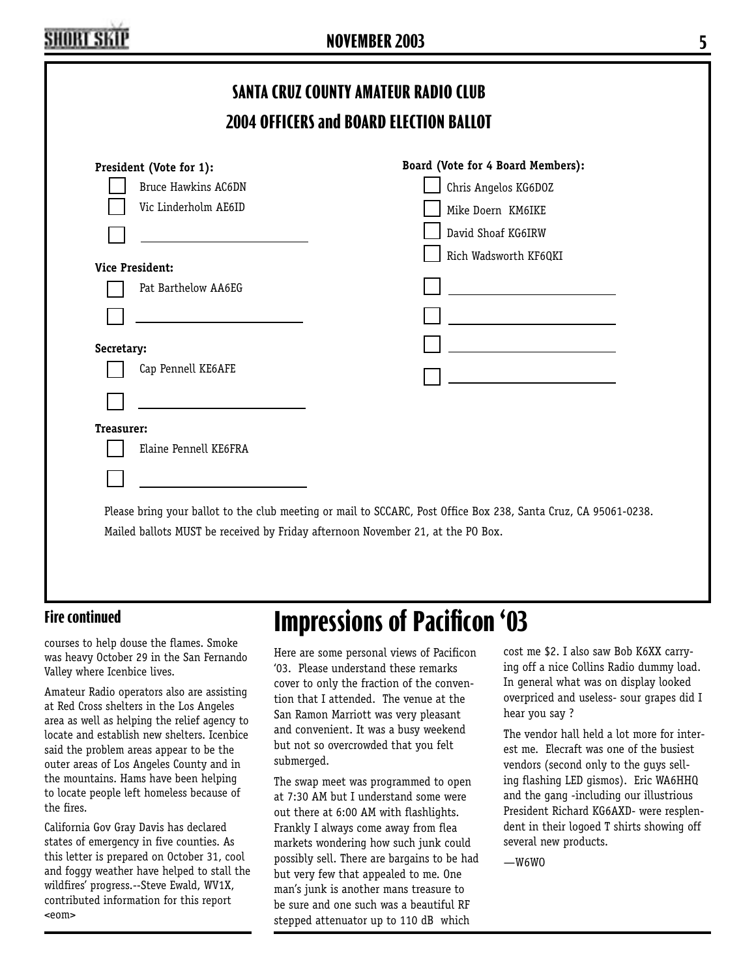#### **Fire continued**

courses to help douse the flames. Smoke was heavy October 29 in the San Fernando Valley where Icenbice lives.

Amateur Radio operators also are assisting at Red Cross shelters in the Los Angeles area as well as helping the relief agency to locate and establish new shelters. Icenbice said the problem areas appear to be the outer areas of Los Angeles County and in the mountains. Hams have been helping to locate people left homeless because of the fires.

California Gov Gray Davis has declared states of emergency in five counties. As this letter is prepared on October 31, cool and foggy weather have helped to stall the wildfires' progress.--Steve Ewald, WV1X, contributed information for this report <eom>

### **Impressions of Pacificon '03**

Here are some personal views of Pacificon '03. Please understand these remarks cover to only the fraction of the convention that I attended. The venue at the San Ramon Marriott was very pleasant and convenient. It was a busy weekend but not so overcrowded that you felt submerged.

The swap meet was programmed to open at 7:30 AM but I understand some were out there at 6:00 AM with flashlights. Frankly I always come away from flea markets wondering how such junk could possibly sell. There are bargains to be had but very few that appealed to me. One man's junk is another mans treasure to be sure and one such was a beautiful RF stepped attenuator up to 110 dB which

cost me \$2. I also saw Bob K6XX carrying off a nice Collins Radio dummy load. In general what was on display looked overpriced and useless- sour grapes did I hear you say ?

The vendor hall held a lot more for interest me. Elecraft was one of the busiest vendors (second only to the guys selling flashing LED gismos). Eric WA6HHQ and the gang -including our illustrious President Richard KG6AXD- were resplendent in their logoed T shirts showing off several new products.

—W6WO